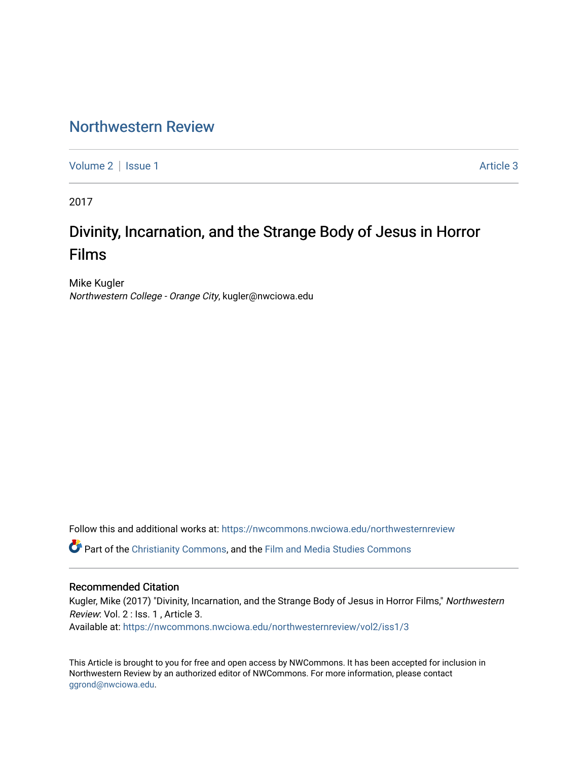# [Northwestern Review](https://nwcommons.nwciowa.edu/northwesternreview)

[Volume 2](https://nwcommons.nwciowa.edu/northwesternreview/vol2) | [Issue 1](https://nwcommons.nwciowa.edu/northwesternreview/vol2/iss1) Article 3

2017

# Divinity, Incarnation, and the Strange Body of Jesus in Horror Films

Mike Kugler Northwestern College - Orange City, kugler@nwciowa.edu

Follow this and additional works at: [https://nwcommons.nwciowa.edu/northwesternreview](https://nwcommons.nwciowa.edu/northwesternreview?utm_source=nwcommons.nwciowa.edu%2Fnorthwesternreview%2Fvol2%2Fiss1%2F3&utm_medium=PDF&utm_campaign=PDFCoverPages) 

Part of the [Christianity Commons,](http://network.bepress.com/hgg/discipline/1181?utm_source=nwcommons.nwciowa.edu%2Fnorthwesternreview%2Fvol2%2Fiss1%2F3&utm_medium=PDF&utm_campaign=PDFCoverPages) and the [Film and Media Studies Commons](http://network.bepress.com/hgg/discipline/563?utm_source=nwcommons.nwciowa.edu%2Fnorthwesternreview%2Fvol2%2Fiss1%2F3&utm_medium=PDF&utm_campaign=PDFCoverPages)

#### Recommended Citation

Kugler, Mike (2017) "Divinity, Incarnation, and the Strange Body of Jesus in Horror Films," Northwestern Review: Vol. 2 : Iss. 1 , Article 3.

Available at: [https://nwcommons.nwciowa.edu/northwesternreview/vol2/iss1/3](https://nwcommons.nwciowa.edu/northwesternreview/vol2/iss1/3?utm_source=nwcommons.nwciowa.edu%2Fnorthwesternreview%2Fvol2%2Fiss1%2F3&utm_medium=PDF&utm_campaign=PDFCoverPages)

This Article is brought to you for free and open access by NWCommons. It has been accepted for inclusion in Northwestern Review by an authorized editor of NWCommons. For more information, please contact [ggrond@nwciowa.edu.](mailto:ggrond@nwciowa.edu)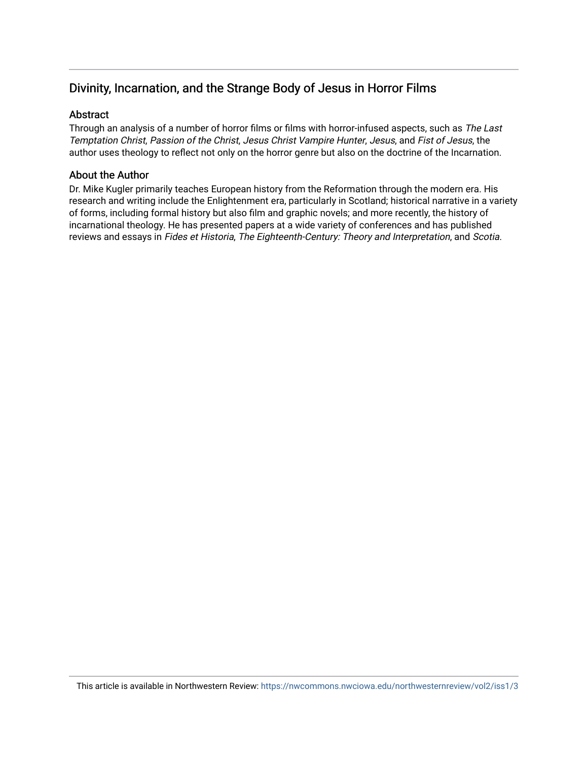# Divinity, Incarnation, and the Strange Body of Jesus in Horror Films

## **Abstract**

Through an analysis of a number of horror films or films with horror-infused aspects, such as The Last Temptation Christ, Passion of the Christ, Jesus Christ Vampire Hunter, Jesus, and Fist of Jesus, the author uses theology to reflect not only on the horror genre but also on the doctrine of the Incarnation.

#### About the Author

Dr. Mike Kugler primarily teaches European history from the Reformation through the modern era. His research and writing include the Enlightenment era, particularly in Scotland; historical narrative in a variety of forms, including formal history but also film and graphic novels; and more recently, the history of incarnational theology. He has presented papers at a wide variety of conferences and has published reviews and essays in Fides et Historia, The Eighteenth-Century: Theory and Interpretation, and Scotia.

This article is available in Northwestern Review: <https://nwcommons.nwciowa.edu/northwesternreview/vol2/iss1/3>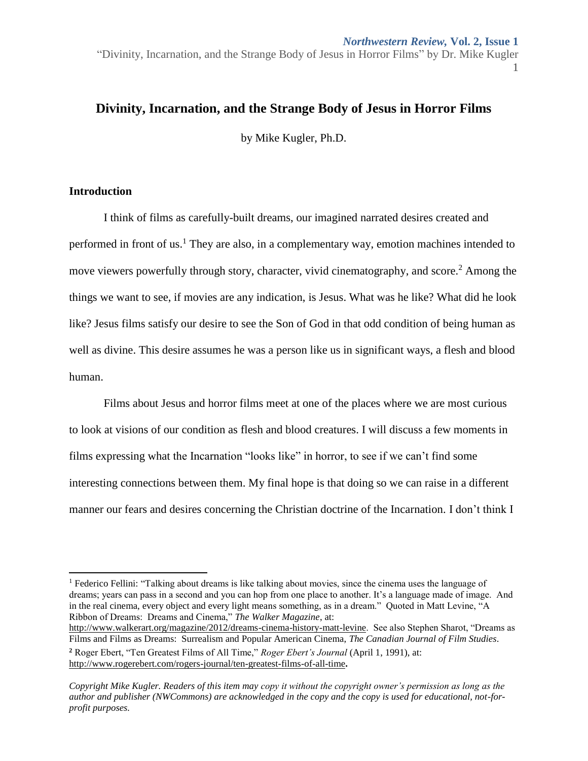#### *Northwestern Review,* **Vol. 2, Issue 1**

"Divinity, Incarnation, and the Strange Body of Jesus in Horror Films" by Dr. Mike Kugler 1

## **Divinity, Incarnation, and the Strange Body of Jesus in Horror Films**

by Mike Kugler, Ph.D.

## **Introduction**

 $\overline{\phantom{a}}$ 

I think of films as carefully-built dreams, our imagined narrated desires created and performed in front of us.<sup>1</sup> They are also, in a complementary way, emotion machines intended to move viewers powerfully through story, character, vivid cinematography, and score.<sup>2</sup> Among the things we want to see, if movies are any indication, is Jesus. What was he like? What did he look like? Jesus films satisfy our desire to see the Son of God in that odd condition of being human as well as divine. This desire assumes he was a person like us in significant ways, a flesh and blood human.

Films about Jesus and horror films meet at one of the places where we are most curious to look at visions of our condition as flesh and blood creatures. I will discuss a few moments in films expressing what the Incarnation "looks like" in horror, to see if we can't find some interesting connections between them. My final hope is that doing so we can raise in a different manner our fears and desires concerning the Christian doctrine of the Incarnation. I don't think I

[http://www.walkerart.org/magazine/2012/dreams-cinema-history-matt-levine.](http://www.walkerart.org/magazine/2012/dreams-cinema-history-matt-levine) See also Stephen Sharot, "Dreams as Films and Films as Dreams: Surrealism and Popular American Cinema, *The Canadian Journal of Film Studies*.

**<sup>2</sup>** Roger Ebert, "Ten Greatest Films of All Time," *Roger Ebert's Journal* (April 1, 1991), at: <http://www.rogerebert.com/rogers-journal/ten-greatest-films-of-all-time>**.**

<sup>&</sup>lt;sup>1</sup> Federico Fellini: "Talking about dreams is like talking about movies, since the cinema uses the language of dreams; years can pass in a second and you can hop from one place to another. It's a language made of image. And in the real cinema, every object and every light means something, as in a dream." Quoted in Matt Levine, "A Ribbon of Dreams: Dreams and Cinema," *The Walker Magazine*, at: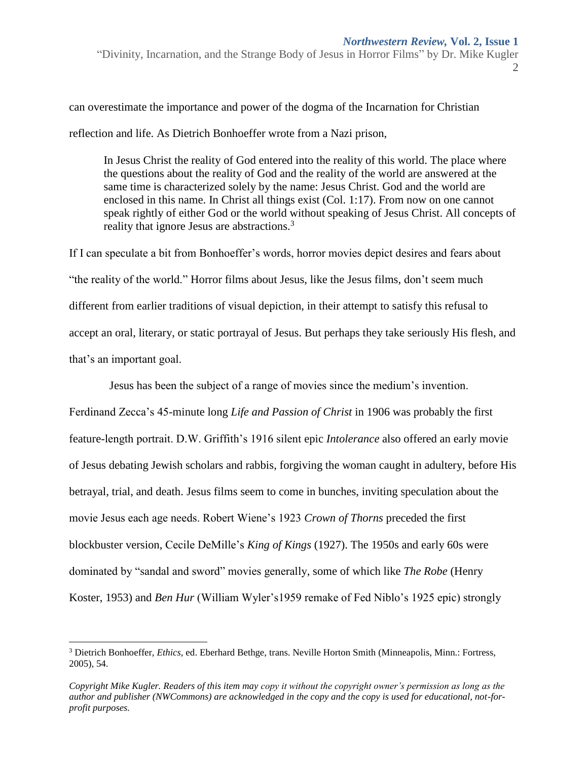can overestimate the importance and power of the dogma of the Incarnation for Christian reflection and life. As Dietrich Bonhoeffer wrote from a Nazi prison,

In Jesus Christ the reality of God entered into the reality of this world. The place where the questions about the reality of God and the reality of the world are answered at the same time is characterized solely by the name: Jesus Christ. God and the world are enclosed in this name. In Christ all things exist (Col. 1:17). From now on one cannot speak rightly of either God or the world without speaking of Jesus Christ. All concepts of reality that ignore Jesus are abstractions.<sup>3</sup>

If I can speculate a bit from Bonhoeffer's words, horror movies depict desires and fears about "the reality of the world." Horror films about Jesus, like the Jesus films, don't seem much different from earlier traditions of visual depiction, in their attempt to satisfy this refusal to accept an oral, literary, or static portrayal of Jesus. But perhaps they take seriously His flesh, and that's an important goal.

Jesus has been the subject of a range of movies since the medium's invention.

Ferdinand Zecca's 45-minute long *Life and Passion of Christ* in 1906 was probably the first feature-length portrait. D.W. Griffith's 1916 silent epic *Intolerance* also offered an early movie of Jesus debating Jewish scholars and rabbis, forgiving the woman caught in adultery, before His betrayal, trial, and death. Jesus films seem to come in bunches, inviting speculation about the movie Jesus each age needs. Robert Wiene's 1923 *Crown of Thorns* preceded the first blockbuster version, Cecile DeMille's *King of Kings* (1927). The 1950s and early 60s were dominated by "sandal and sword" movies generally, some of which like *The Robe* (Henry Koster, 1953) and *Ben Hur* (William Wyler's1959 remake of Fed Niblo's 1925 epic) strongly

<sup>3</sup> Dietrich Bonhoeffer, *Ethics*, ed. Eberhard Bethge, trans. Neville Horton Smith (Minneapolis, Minn.: Fortress, 2005), 54.

*Copyright Mike Kugler. Readers of this item may copy it without the copyright owner's permission as long as the author and publisher (NWCommons) are acknowledged in the copy and the copy is used for educational, not-forprofit purposes.*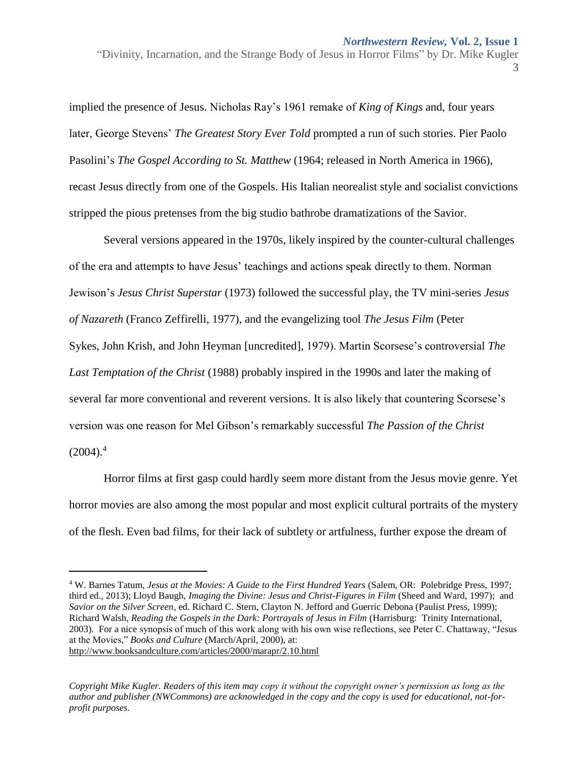implied the presence of Jesus. Nicholas Ray's 1961 remake of *King of Kings* and, four years later, George Stevens' *The Greatest Story Ever Told* prompted a run of such stories. Pier Paolo Pasolini's *The Gospel According to St. Matthew* (1964; released in North America in 1966), recast Jesus directly from one of the Gospels. His Italian neorealist style and socialist convictions stripped the pious pretenses from the big studio bathrobe dramatizations of the Savior.

Several versions appeared in the 1970s, likely inspired by the counter-cultural challenges of the era and attempts to have Jesus' teachings and actions speak directly to them. Norman Jewison's *Jesus Christ Superstar* (1973) followed the successful play, the TV mini-series *Jesus of Nazareth* (Franco Zeffirelli, 1977), and the evangelizing tool *The Jesus Film* [\(Peter](https://en.wikipedia.org/wiki/Peter_Sykes_(director))  [Sykes,](https://en.wikipedia.org/wiki/Peter_Sykes_(director)) [John Krish,](https://en.wikipedia.org/wiki/John_Krish) and John Heyman [uncredited], 1979). Martin Scorsese's controversial *The Last Temptation of the Christ* (1988) probably inspired in the 1990s and later the making of several far more conventional and reverent versions. It is also likely that countering Scorsese's version was one reason for Mel Gibson's remarkably successful *The Passion of the Christ*  $(2004).<sup>4</sup>$ 

Horror films at first gasp could hardly seem more distant from the Jesus movie genre. Yet horror movies are also among the most popular and most explicit cultural portraits of the mystery of the flesh. Even bad films, for their lack of subtlety or artfulness, further expose the dream of

 $\overline{\phantom{a}}$ 

<sup>4</sup> W. Barnes Tatum, *Jesus at the Movies: A Guide to the First Hundred Years* (Salem, OR: Polebridge Press, 1997; third ed., 2013); Lloyd Baugh, *Imaging the Divine: Jesus and Christ-Figures in Film* (Sheed and Ward, 1997); and *Savior on the Silver Screen*, ed. Richard C. Stern, Clayton N. Jefford and Guerric Debona (Paulist Press, 1999); Richard Walsh, *Reading the Gospels in the Dark: Portrayals of Jesus in Film* (Harrisburg: Trinity International, 2003). For a nice synopsis of much of this work along with his own wise reflections, see Peter C. Chattaway, "Jesus at the Movies," *Books and Culture* (March/April, 2000), at: <http://www.booksandculture.com/articles/2000/marapr/2.10.html>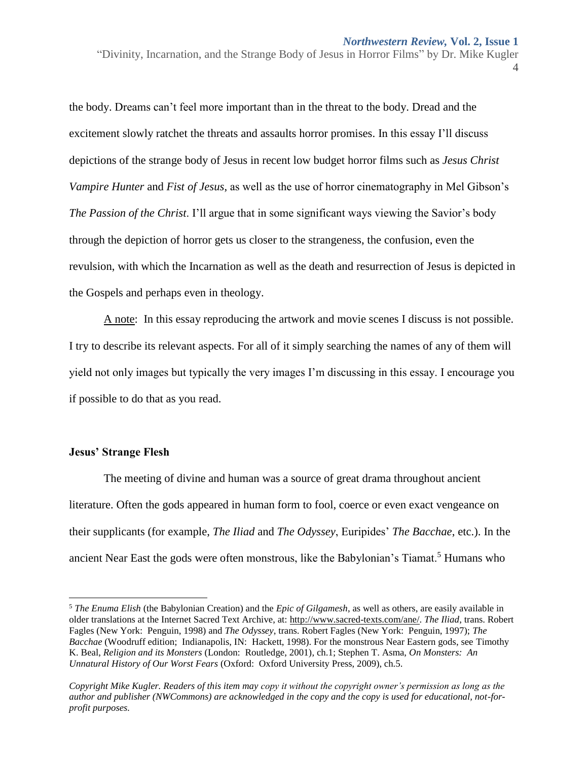the body. Dreams can't feel more important than in the threat to the body. Dread and the excitement slowly ratchet the threats and assaults horror promises. In this essay I'll discuss depictions of the strange body of Jesus in recent low budget horror films such as *Jesus Christ Vampire Hunter* and *Fist of Jesus*, as well as the use of horror cinematography in Mel Gibson's *The Passion of the Christ*. I'll argue that in some significant ways viewing the Savior's body through the depiction of horror gets us closer to the strangeness, the confusion, even the revulsion, with which the Incarnation as well as the death and resurrection of Jesus is depicted in the Gospels and perhaps even in theology.

A note: In this essay reproducing the artwork and movie scenes I discuss is not possible. I try to describe its relevant aspects. For all of it simply searching the names of any of them will yield not only images but typically the very images I'm discussing in this essay. I encourage you if possible to do that as you read.

#### **Jesus' Strange Flesh**

 $\overline{\phantom{a}}$ 

The meeting of divine and human was a source of great drama throughout ancient literature. Often the gods appeared in human form to fool, coerce or even exact vengeance on their supplicants (for example, *The Iliad* and *The Odyssey*, Euripides' *The Bacchae*, etc.). In the ancient Near East the gods were often monstrous, like the Babylonian's Tiamat.<sup>5</sup> Humans who

<sup>5</sup> *The Enuma Elish* (the Babylonian Creation) and the *Epic of Gilgamesh*, as well as others, are easily available in older translations at the Internet Sacred Text Archive, at: [http://www.sacred-texts.com/ane/.](http://www.sacred-texts.com/ane/) *The Iliad*, trans. Robert Fagles (New York: Penguin, 1998) and *The Odyssey*, trans. Robert Fagles (New York: Penguin, 1997); *The Bacchae* (Woodruff edition; Indianapolis, IN: Hackett, 1998). For the monstrous Near Eastern gods, see Timothy K. Beal, *Religion and its Monsters* (London: Routledge, 2001), ch.1; Stephen T. Asma, *On Monsters: An Unnatural History of Our Worst Fears* (Oxford: Oxford University Press, 2009), ch.5.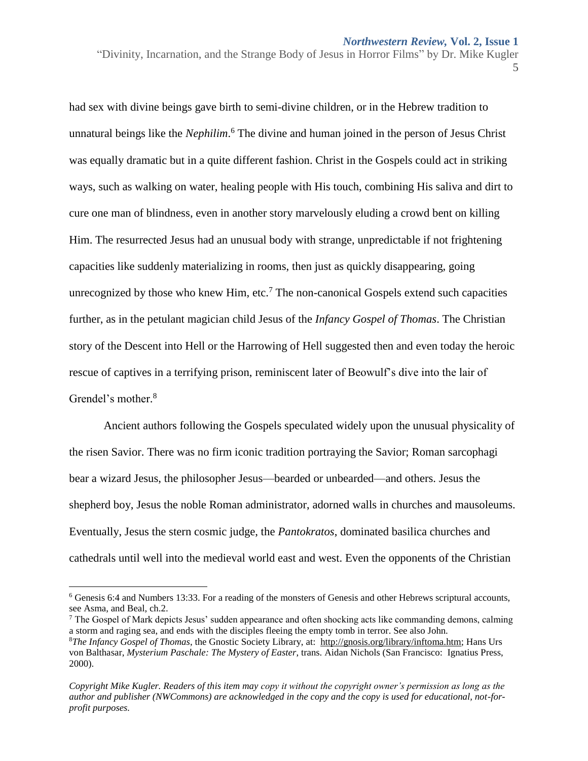had sex with divine beings gave birth to semi-divine children, or in the Hebrew tradition to unnatural beings like the *Nephilim*.<sup>6</sup> The divine and human joined in the person of Jesus Christ was equally dramatic but in a quite different fashion. Christ in the Gospels could act in striking ways, such as walking on water, healing people with His touch, combining His saliva and dirt to cure one man of blindness, even in another story marvelously eluding a crowd bent on killing Him. The resurrected Jesus had an unusual body with strange, unpredictable if not frightening capacities like suddenly materializing in rooms, then just as quickly disappearing, going unrecognized by those who knew Him, etc.<sup>7</sup> The non-canonical Gospels extend such capacities further, as in the petulant magician child Jesus of the *Infancy Gospel of Thomas*. The Christian story of the Descent into Hell or the Harrowing of Hell suggested then and even today the heroic rescue of captives in a terrifying prison, reminiscent later of Beowulf's dive into the lair of Grendel's mother.<sup>8</sup>

Ancient authors following the Gospels speculated widely upon the unusual physicality of the risen Savior. There was no firm iconic tradition portraying the Savior; Roman sarcophagi bear a wizard Jesus, the philosopher Jesus—bearded or unbearded—and others. Jesus the shepherd boy, Jesus the noble Roman administrator, adorned walls in churches and mausoleums. Eventually, Jesus the stern cosmic judge, the *Pantokratos*, dominated basilica churches and cathedrals until well into the medieval world east and west. Even the opponents of the Christian

 $\overline{a}$ 

<sup>6</sup> Genesis 6:4 and Numbers 13:33. For a reading of the monsters of Genesis and other Hebrews scriptural accounts, see Asma, and Beal, ch.2.

 $<sup>7</sup>$  The Gospel of Mark depicts Jesus' sudden appearance and often shocking acts like commanding demons, calming</sup> a storm and raging sea, and ends with the disciples fleeing the empty tomb in terror. See also John. <sup>8</sup>*The Infancy Gospel of Thomas*, the Gnostic Society Library, at: [http://gnosis.org/library/inftoma.htm;](http://gnosis.org/library/inftoma.htm) Hans Urs von Balthasar, *Mysterium Paschale: The Mystery of Easter*, trans. Aidan Nichols (San Francisco: Ignatius Press, 2000).

*Copyright Mike Kugler. Readers of this item may copy it without the copyright owner's permission as long as the author and publisher (NWCommons) are acknowledged in the copy and the copy is used for educational, not-forprofit purposes.*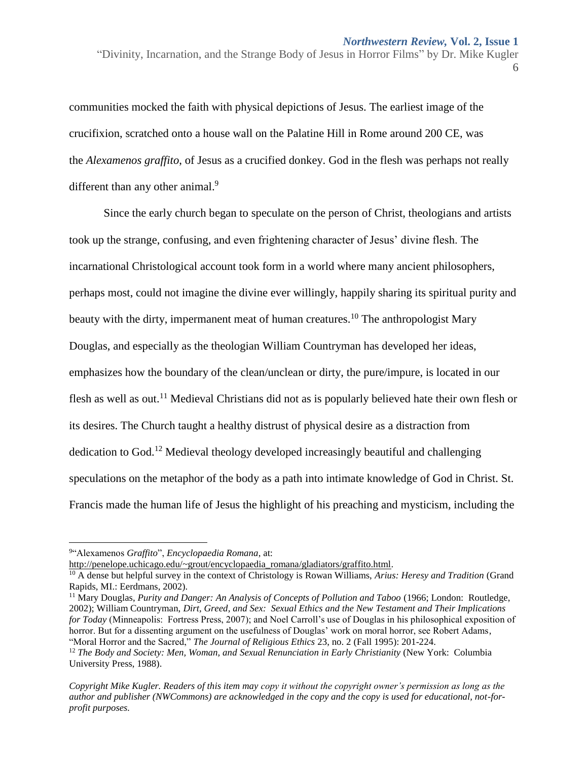communities mocked the faith with physical depictions of Jesus. The earliest image of the crucifixion, scratched onto a house wall on the Palatine Hill in Rome around 200 CE, was the *Alexamenos graffito*, of Jesus as a crucified donkey. God in the flesh was perhaps not really different than any other animal.<sup>9</sup>

Since the early church began to speculate on the person of Christ, theologians and artists took up the strange, confusing, and even frightening character of Jesus' divine flesh. The incarnational Christological account took form in a world where many ancient philosophers, perhaps most, could not imagine the divine ever willingly, happily sharing its spiritual purity and beauty with the dirty, impermanent meat of human creatures.<sup>10</sup> The anthropologist Mary Douglas, and especially as the theologian William Countryman has developed her ideas, emphasizes how the boundary of the clean/unclean or dirty, the pure/impure, is located in our flesh as well as out.<sup>11</sup> Medieval Christians did not as is popularly believed hate their own flesh or its desires. The Church taught a healthy distrust of physical desire as a distraction from dedication to God.<sup>12</sup> Medieval theology developed increasingly beautiful and challenging speculations on the metaphor of the body as a path into intimate knowledge of God in Christ. St. Francis made the human life of Jesus the highlight of his preaching and mysticism, including the

 $\overline{\phantom{a}}$ 

[http://penelope.uchicago.edu/~grout/encyclopaedia\\_romana/gladiators/graffito.html.](http://penelope.uchicago.edu/~grout/encyclopaedia_romana/gladiators/graffito.html)

<sup>9</sup> "Alexamenos *Graffito*", *Encyclopaedia Romana*, at:

<sup>10</sup> A dense but helpful survey in the context of Christology is Rowan Williams, *Arius: Heresy and Tradition* (Grand Rapids, MI.: Eerdmans, 2002).

<sup>11</sup> Mary Douglas, *Purity and Danger: An Analysis of Concepts of Pollution and Taboo* (1966; London: Routledge, 2002); William Countryman, *Dirt, Greed, and Sex: Sexual Ethics and the New Testament and Their Implications for Today* (Minneapolis: Fortress Press, 2007); and Noel Carroll's use of Douglas in his philosophical exposition of horror. But for a dissenting argument on the usefulness of Douglas' work on moral horror, see Robert Adams, "Moral Horror and the Sacred," *The Journal of Religious Ethics* 23, no. 2 (Fall 1995): 201-224.

<sup>&</sup>lt;sup>12</sup> *The Body and Society: Men, Woman, and Sexual Renunciation in Early Christianity* (New York: Columbia University Press, 1988).

*Copyright Mike Kugler. Readers of this item may copy it without the copyright owner's permission as long as the author and publisher (NWCommons) are acknowledged in the copy and the copy is used for educational, not-forprofit purposes.*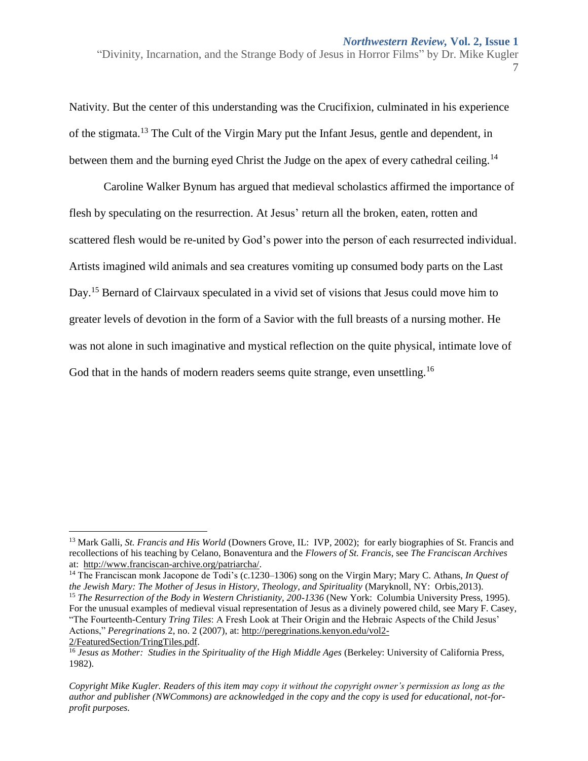Nativity. But the center of this understanding was the Crucifixion, culminated in his experience of the stigmata.<sup>13</sup> The Cult of the Virgin Mary put the Infant Jesus, gentle and dependent, in between them and the burning eyed Christ the Judge on the apex of every cathedral ceiling.<sup>14</sup>

Caroline Walker Bynum has argued that medieval scholastics affirmed the importance of flesh by speculating on the resurrection. At Jesus' return all the broken, eaten, rotten and scattered flesh would be re-united by God's power into the person of each resurrected individual. Artists imagined wild animals and sea creatures vomiting up consumed body parts on the Last Day.<sup>15</sup> Bernard of Clairvaux speculated in a vivid set of visions that Jesus could move him to greater levels of devotion in the form of a Savior with the full breasts of a nursing mother. He was not alone in such imaginative and mystical reflection on the quite physical, intimate love of God that in the hands of modern readers seems quite strange, even unsettling.<sup>16</sup>

<sup>13</sup> Mark Galli, *St. Francis and His World* (Downers Grove, IL: IVP, 2002); for early biographies of St. Francis and recollections of his teaching by Celano, Bonaventura and the *Flowers of St. Francis*, see *The Franciscan Archives* at: [http://www.franciscan-archive.org/patriarcha/.](http://www.franciscan-archive.org/patriarcha/)

<sup>14</sup> The Franciscan monk Jacopone de Todi's (c.1230–1306) song on the Virgin Mary; Mary C. Athans, *In Quest of the Jewish Mary: The Mother of Jesus in History, Theology, and Spirituality* (Maryknoll, NY: Orbis,2013). <sup>15</sup> *The Resurrection of the Body in Western Christianity, 200-1336* (New York: Columbia University Press, 1995). For the unusual examples of medieval visual representation of Jesus as a divinely powered child, see Mary F. Casey, "The Fourteenth-Century *Tring Tiles*: A Fresh Look at Their Origin and the Hebraic Aspects of the Child Jesus' Actions," *Peregrinations* 2, no. 2 (2007), at[: http://peregrinations.kenyon.edu/vol2-](http://peregrinations.kenyon.edu/vol2-2/FeaturedSection/TringTiles.pdf)

[<sup>2/</sup>FeaturedSection/TringTiles.pdf.](http://peregrinations.kenyon.edu/vol2-2/FeaturedSection/TringTiles.pdf)

<sup>16</sup> *Jesus as Mother: Studies in the Spirituality of the High Middle Ages* (Berkeley: University of California Press, 1982).

*Copyright Mike Kugler. Readers of this item may copy it without the copyright owner's permission as long as the author and publisher (NWCommons) are acknowledged in the copy and the copy is used for educational, not-forprofit purposes.*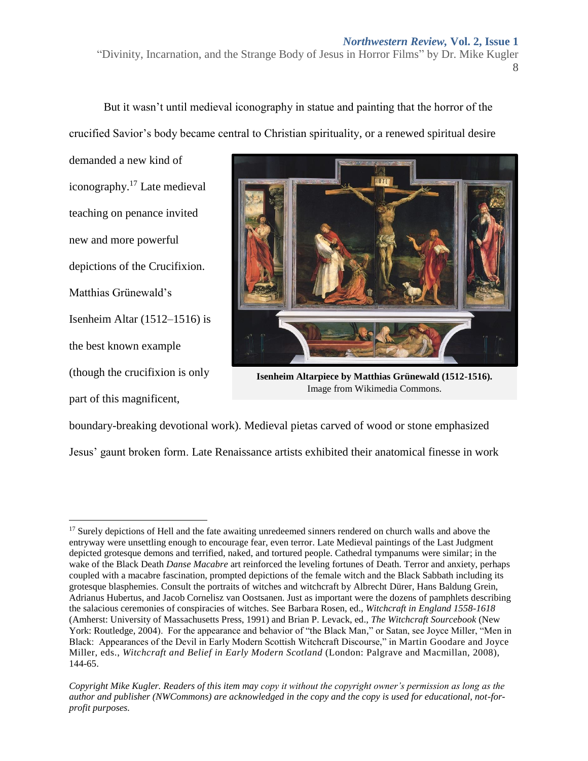#### *Northwestern Review,* **Vol. 2, Issue 1**

"Divinity, Incarnation, and the Strange Body of Jesus in Horror Films" by Dr. Mike Kugler 8

But it wasn't until medieval iconography in statue and painting that the horror of the crucified Savior's body became central to Christian spirituality, or a renewed spiritual desire

demanded a new kind of iconography. <sup>17</sup> Late medieval teaching on penance invited new and more powerful depictions of the Crucifixion. Matthias Grünewald's Isenheim Altar (1512–1516) is the best known example (though the crucifixion is only part of this magnificent,



**Isenheim Altarpiece by Matthias Grünewald (1512-1516).**  Image from Wikimedia Commons.

boundary-breaking devotional work). Medieval pietas carved of wood or stone emphasized Jesus' gaunt broken form. Late Renaissance artists exhibited their anatomical finesse in work

 $\overline{a}$ <sup>17</sup> Surely depictions of Hell and the fate awaiting unredeemed sinners rendered on church walls and above the entryway were unsettling enough to encourage fear, even terror. Late Medieval paintings of the Last Judgment depicted grotesque demons and terrified, naked, and tortured people. Cathedral tympanums were similar; in the wake of the Black Death *Danse Macabre* art reinforced the leveling fortunes of Death. Terror and anxiety, perhaps coupled with a macabre fascination, prompted depictions of the female witch and the Black Sabbath including its grotesque blasphemies. Consult the portraits of witches and witchcraft by Albrecht Dürer, Hans Baldung Grein, Adrianus Hubertus, and Jacob Cornelisz van Oostsanen. Just as important were the dozens of pamphlets describing the salacious ceremonies of conspiracies of witches. See Barbara Rosen, ed., *Witchcraft in England 1558-1618* (Amherst: University of Massachusetts Press, 1991) and Brian P. Levack, ed., *The Witchcraft Sourcebook* (New York: Routledge, 2004). For the appearance and behavior of "the Black Man," or Satan, see Joyce Miller, "Men in Black: Appearances of the Devil in Early Modern Scottish Witchcraft Discourse," in Martin Goodare and Joyce Miller, eds., *Witchcraft and Belief in Early Modern Scotland* (London: Palgrave and Macmillan, 2008), 144-65.

*Copyright Mike Kugler. Readers of this item may copy it without the copyright owner's permission as long as the author and publisher (NWCommons) are acknowledged in the copy and the copy is used for educational, not-forprofit purposes.*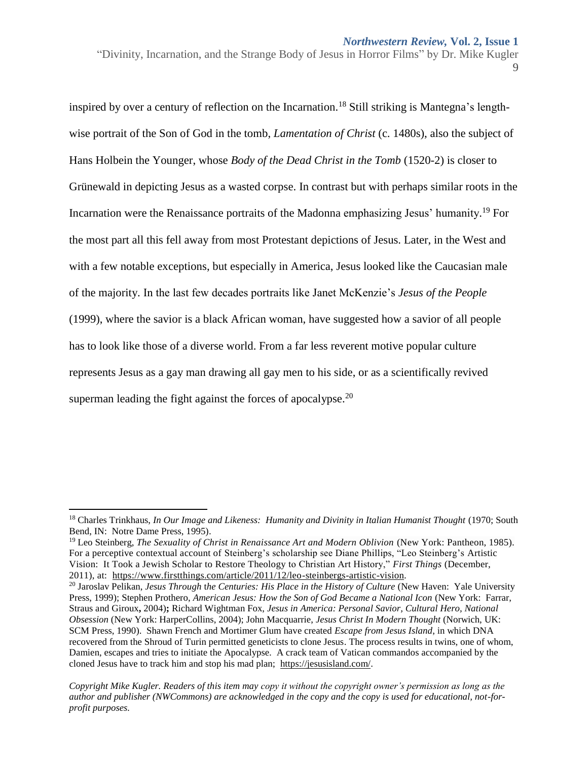inspired by over a century of reflection on the Incarnation.<sup>18</sup> Still striking is Mantegna's lengthwise portrait of the Son of God in the tomb, *Lamentation of Christ* (c. 1480s), also the subject of Hans Holbein the Younger, whose *Body of the Dead Christ in the Tomb* (1520-2) is closer to Grünewald in depicting Jesus as a wasted corpse. In contrast but with perhaps similar roots in the Incarnation were the Renaissance portraits of the Madonna emphasizing Jesus' humanity.<sup>19</sup> For the most part all this fell away from most Protestant depictions of Jesus. Later, in the West and with a few notable exceptions, but especially in America, Jesus looked like the Caucasian male of the majority. In the last few decades portraits like Janet McKenzie's *Jesus of the People* (1999), where the savior is a black African woman, have suggested how a savior of all people has to look like those of a diverse world. From a far less reverent motive popular culture represents Jesus as a gay man drawing all gay men to his side, or as a scientifically revived superman leading the fight against the forces of apocalypse. $20$ 

l

<sup>&</sup>lt;sup>18</sup> Charles Trinkhaus, *In Our Image and Likeness: Humanity and Divinity in Italian Humanist Thought* (1970; South Bend, IN: Notre Dame Press, 1995).

<sup>19</sup> Leo Steinberg, *The Sexuality of Christ in Renaissance Art and Modern Oblivion* (New York: Pantheon, 1985). For a perceptive contextual account of Steinberg's scholarship see Diane Phillips, "Leo Steinberg's Artistic Vision: It Took a Jewish Scholar to Restore Theology to Christian Art History," *First Things* (December, 2011), at: [https://www.firstthings.com/article/2011/12/leo-steinbergs-artistic-vision.](https://www.firstthings.com/article/2011/12/leo-steinbergs-artistic-vision)

<sup>20</sup> Jaroslav Pelikan, *Jesus Through* t*he Centuries: His Place in the History of Culture* (New Haven: Yale University Press, 1999); Stephen Prothero, *American Jesus: How the Son of God Became a National Icon* (New York: Farrar, Straus and Giroux**,** 2004)**;** Richard Wightman Fox, *Jesus in America: Personal Savior, Cultural Hero, National Obsession* (New York: HarperCollins, 2004); John Macquarrie, *Jesus Christ In Modern Thought* (Norwich, UK: SCM Press, 1990). Shawn French and Mortimer Glum have created *Escape from Jesus Island*, in which DNA recovered from the Shroud of Turin permitted geneticists to clone Jesus. The process results in twins, one of whom, Damien, escapes and tries to initiate the Apocalypse. A crack team of Vatican commandos accompanied by the cloned Jesus have to track him and stop his mad plan; [https://jesusisland.com/.](https://jesusisland.com/)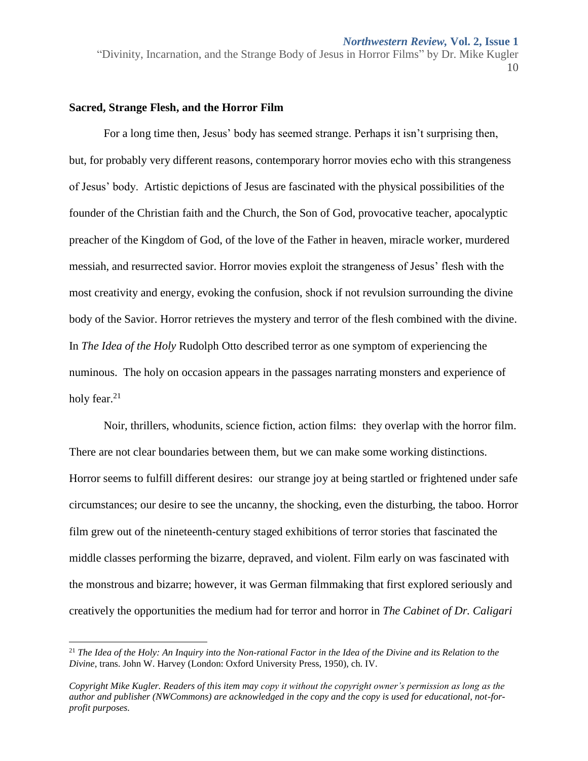*Northwestern Review,* **Vol. 2, Issue 1**

"Divinity, Incarnation, and the Strange Body of Jesus in Horror Films" by Dr. Mike Kugler 10

#### **Sacred, Strange Flesh, and the Horror Film**

 $\overline{\phantom{a}}$ 

For a long time then, Jesus' body has seemed strange. Perhaps it isn't surprising then, but, for probably very different reasons, contemporary horror movies echo with this strangeness of Jesus' body. Artistic depictions of Jesus are fascinated with the physical possibilities of the founder of the Christian faith and the Church, the Son of God, provocative teacher, apocalyptic preacher of the Kingdom of God, of the love of the Father in heaven, miracle worker, murdered messiah, and resurrected savior. Horror movies exploit the strangeness of Jesus' flesh with the most creativity and energy, evoking the confusion, shock if not revulsion surrounding the divine body of the Savior. Horror retrieves the mystery and terror of the flesh combined with the divine. In *The Idea of the Holy* Rudolph Otto described terror as one symptom of experiencing the numinous. The holy on occasion appears in the passages narrating monsters and experience of holy fear. $21$ 

Noir, thrillers, whodunits, science fiction, action films: they overlap with the horror film. There are not clear boundaries between them, but we can make some working distinctions. Horror seems to fulfill different desires: our strange joy at being startled or frightened under safe circumstances; our desire to see the uncanny, the shocking, even the disturbing, the taboo. Horror film grew out of the nineteenth-century staged exhibitions of terror stories that fascinated the middle classes performing the bizarre, depraved, and violent. Film early on was fascinated with the monstrous and bizarre; however, it was German filmmaking that first explored seriously and creatively the opportunities the medium had for terror and horror in *The Cabinet of Dr. Caligari*

<sup>&</sup>lt;sup>21</sup> The Idea of the Holy: An Inquiry into the Non-rational Factor in the Idea of the Divine and its Relation to the *Divine*, trans. John W. Harvey (London: Oxford University Press, 1950), ch. IV.

*Copyright Mike Kugler. Readers of this item may copy it without the copyright owner's permission as long as the author and publisher (NWCommons) are acknowledged in the copy and the copy is used for educational, not-forprofit purposes.*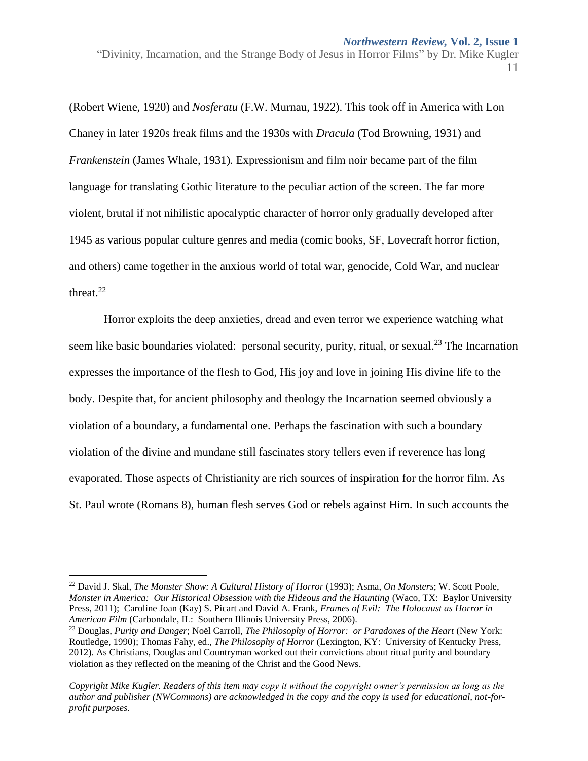(Robert Wiene, 1920) and *Nosferatu* (F.W. Murnau, 1922). This took off in America with Lon Chaney in later 1920s freak films and the 1930s with *Dracula* (Tod Browning, 1931) and *Frankenstein* (James Whale, 1931)*.* Expressionism and film noir became part of the film language for translating Gothic literature to the peculiar action of the screen. The far more violent, brutal if not nihilistic apocalyptic character of horror only gradually developed after 1945 as various popular culture genres and media (comic books, SF, Lovecraft horror fiction, and others) came together in the anxious world of total war, genocide, Cold War, and nuclear threat. 22

Horror exploits the deep anxieties, dread and even terror we experience watching what seem like basic boundaries violated: personal security, purity, ritual, or sexual.<sup>23</sup> The Incarnation expresses the importance of the flesh to God, His joy and love in joining His divine life to the body. Despite that, for ancient philosophy and theology the Incarnation seemed obviously a violation of a boundary, a fundamental one. Perhaps the fascination with such a boundary violation of the divine and mundane still fascinates story tellers even if reverence has long evaporated. Those aspects of Christianity are rich sources of inspiration for the horror film. As St. Paul wrote (Romans 8), human flesh serves God or rebels against Him. In such accounts the

 $\overline{\phantom{a}}$ 

<sup>22</sup> David J. Skal, *The Monster Show: A Cultural History of Horror* (1993); Asma, *On Monsters*; W. Scott Poole, *Monster in America: Our Historical Obsession with the Hideous and the Haunting* (Waco, TX: Baylor University Press, 2011); Caroline Joan (Kay) S. Picart and David A. Frank, *Frames of Evil: The Holocaust as Horror in American Film* (Carbondale, IL: Southern Illinois University Press, 2006).

<sup>23</sup> Douglas, *Purity and Danger*; Noël Carroll, *The Philosophy of Horror: or Paradoxes of the Heart* (New York: Routledge, 1990); Thomas Fahy, ed., *The Philosophy of Horror* (Lexington, KY: University of Kentucky Press, 2012). As Christians, Douglas and Countryman worked out their convictions about ritual purity and boundary violation as they reflected on the meaning of the Christ and the Good News.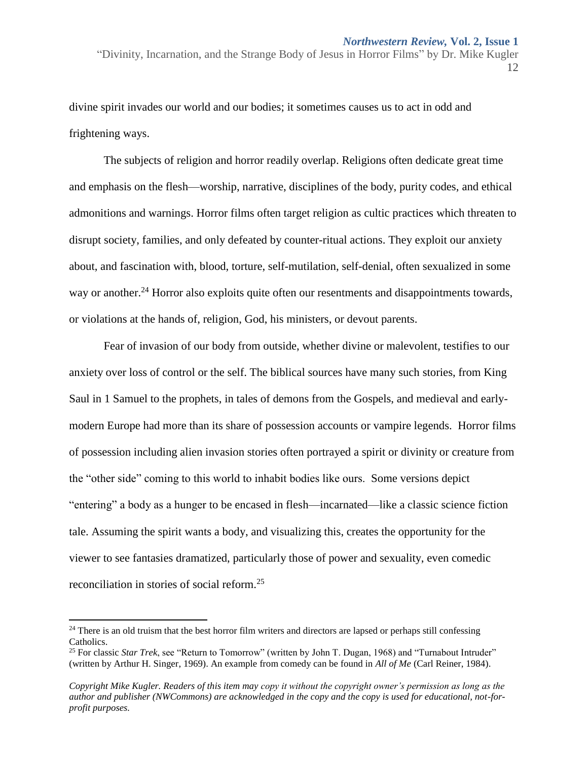divine spirit invades our world and our bodies; it sometimes causes us to act in odd and frightening ways.

The subjects of religion and horror readily overlap. Religions often dedicate great time and emphasis on the flesh—worship, narrative, disciplines of the body, purity codes, and ethical admonitions and warnings. Horror films often target religion as cultic practices which threaten to disrupt society, families, and only defeated by counter-ritual actions. They exploit our anxiety about, and fascination with, blood, torture, self-mutilation, self-denial, often sexualized in some way or another.<sup>24</sup> Horror also exploits quite often our resentments and disappointments towards, or violations at the hands of, religion, God, his ministers, or devout parents.

Fear of invasion of our body from outside, whether divine or malevolent, testifies to our anxiety over loss of control or the self. The biblical sources have many such stories, from King Saul in 1 Samuel to the prophets, in tales of demons from the Gospels, and medieval and earlymodern Europe had more than its share of possession accounts or vampire legends. Horror films of possession including alien invasion stories often portrayed a spirit or divinity or creature from the "other side" coming to this world to inhabit bodies like ours. Some versions depict "entering" a body as a hunger to be encased in flesh—incarnated—like a classic science fiction tale. Assuming the spirit wants a body, and visualizing this, creates the opportunity for the viewer to see fantasies dramatized, particularly those of power and sexuality, even comedic reconciliation in stories of social reform.<sup>25</sup>

l

 $24$  There is an old truism that the best horror film writers and directors are lapsed or perhaps still confessing Catholics.

<sup>25</sup> For classic *Star Trek*, see "Return to Tomorrow" (written by John T. Dugan, 1968) and "Turnabout Intruder" (written by Arthur H. Singer, 1969). An example from comedy can be found in *All of Me* (Carl Reiner, 1984).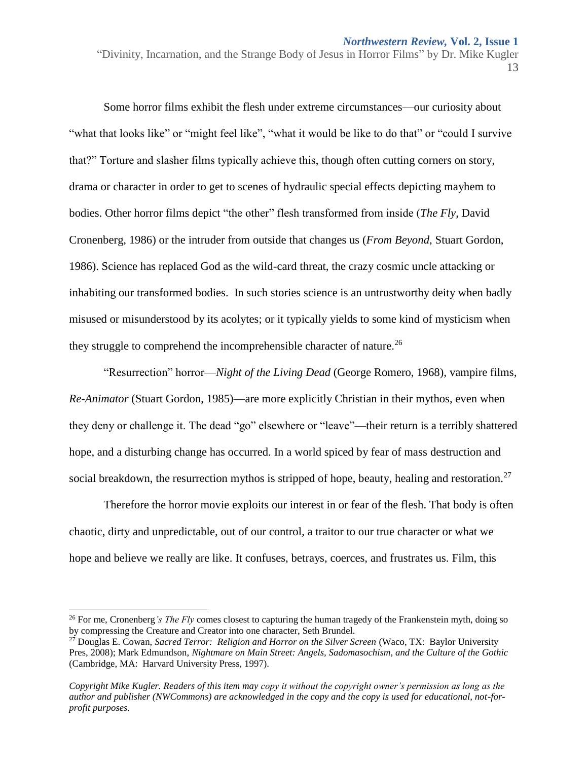Some horror films exhibit the flesh under extreme circumstances—our curiosity about "what that looks like" or "might feel like", "what it would be like to do that" or "could I survive" that?" Torture and slasher films typically achieve this, though often cutting corners on story, drama or character in order to get to scenes of hydraulic special effects depicting mayhem to bodies. Other horror films depict "the other" flesh transformed from inside (*The Fly*, David Cronenberg, 1986) or the intruder from outside that changes us (*From Beyond*, Stuart Gordon, 1986). Science has replaced God as the wild-card threat, the crazy cosmic uncle attacking or inhabiting our transformed bodies. In such stories science is an untrustworthy deity when badly misused or misunderstood by its acolytes; or it typically yields to some kind of mysticism when they struggle to comprehend the incomprehensible character of nature.<sup>26</sup>

"Resurrection" horror—*Night of the Living Dead* (George Romero, 1968)*,* vampire films*, Re-Animator* (Stuart Gordon, 1985)—are more explicitly Christian in their mythos, even when they deny or challenge it. The dead "go" elsewhere or "leave"—their return is a terribly shattered hope, and a disturbing change has occurred. In a world spiced by fear of mass destruction and social breakdown, the resurrection mythos is stripped of hope, beauty, healing and restoration.<sup>27</sup>

Therefore the horror movie exploits our interest in or fear of the flesh. That body is often chaotic, dirty and unpredictable, out of our control, a traitor to our true character or what we hope and believe we really are like. It confuses, betrays, coerces, and frustrates us. Film, this

<sup>&</sup>lt;sup>26</sup> For me, Cronenberg*'s The Fly* comes closest to capturing the human tragedy of the Frankenstein myth, doing so by compressing the Creature and Creator into one character, Seth Brundel.

<sup>27</sup> Douglas E. Cowan, *Sacred Terror: Religion and Horror on the Silver Screen* (Waco, TX: Baylor University Pres, 2008); Mark Edmundson, *Nightmare on Main Street: Angels, Sadomasochism, and the Culture of the Gothic* (Cambridge, MA: Harvard University Press, 1997).

*Copyright Mike Kugler. Readers of this item may copy it without the copyright owner's permission as long as the author and publisher (NWCommons) are acknowledged in the copy and the copy is used for educational, not-forprofit purposes.*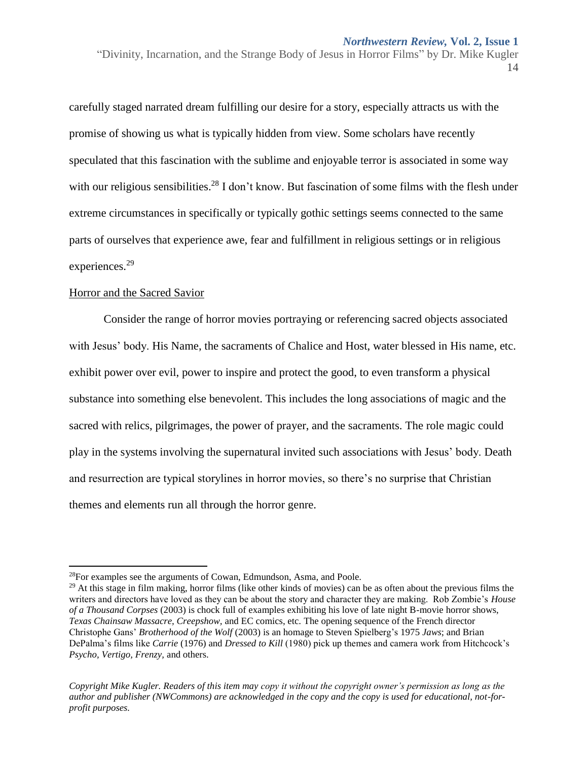carefully staged narrated dream fulfilling our desire for a story, especially attracts us with the promise of showing us what is typically hidden from view. Some scholars have recently speculated that this fascination with the sublime and enjoyable terror is associated in some way with our religious sensibilities.<sup>28</sup> I don't know. But fascination of some films with the flesh under extreme circumstances in specifically or typically gothic settings seems connected to the same parts of ourselves that experience awe, fear and fulfillment in religious settings or in religious experiences.<sup>29</sup>

#### Horror and the Sacred Savior

 $\overline{\phantom{a}}$ 

Consider the range of horror movies portraying or referencing sacred objects associated with Jesus' body. His Name, the sacraments of Chalice and Host, water blessed in His name, etc. exhibit power over evil, power to inspire and protect the good, to even transform a physical substance into something else benevolent. This includes the long associations of magic and the sacred with relics, pilgrimages, the power of prayer, and the sacraments. The role magic could play in the systems involving the supernatural invited such associations with Jesus' body. Death and resurrection are typical storylines in horror movies, so there's no surprise that Christian themes and elements run all through the horror genre.

<sup>28</sup>For examples see the arguments of Cowan, Edmundson, Asma, and Poole.

<sup>&</sup>lt;sup>29</sup> At this stage in film making, horror films (like other kinds of movies) can be as often about the previous films the writers and directors have loved as they can be about the story and character they are making. Rob Zombie's *House of a Thousand Corpses* (2003) is chock full of examples exhibiting his love of late night B-movie horror shows, *Texas Chainsaw Massacre, Creepshow,* and EC comics, etc. The opening sequence of the French director Christophe Gans' *Brotherhood of the Wolf* (2003) is an homage to Steven Spielberg's 1975 *Jaws*; and Brian DePalma's films like *Carrie* (1976) and *Dressed to Kill* (1980) pick up themes and camera work from Hitchcock's *Psycho, Vertigo, Frenzy,* and others.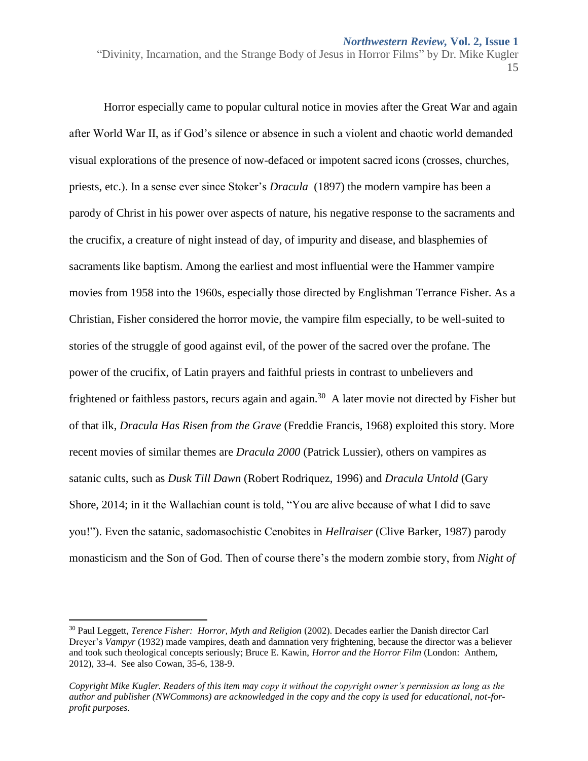Horror especially came to popular cultural notice in movies after the Great War and again after World War II, as if God's silence or absence in such a violent and chaotic world demanded visual explorations of the presence of now-defaced or impotent sacred icons (crosses, churches, priests, etc.). In a sense ever since Stoker's *Dracula* (1897) the modern vampire has been a parody of Christ in his power over aspects of nature, his negative response to the sacraments and the crucifix, a creature of night instead of day, of impurity and disease, and blasphemies of sacraments like baptism. Among the earliest and most influential were the Hammer vampire movies from 1958 into the 1960s, especially those directed by Englishman Terrance Fisher. As a Christian, Fisher considered the horror movie, the vampire film especially, to be well-suited to stories of the struggle of good against evil, of the power of the sacred over the profane. The power of the crucifix, of Latin prayers and faithful priests in contrast to unbelievers and frightened or faithless pastors, recurs again and again.<sup>30</sup> A later movie not directed by Fisher but of that ilk, *Dracula Has Risen from the Grave* (Freddie Francis, 1968) exploited this story. More recent movies of similar themes are *Dracula 2000* (Patrick Lussier), others on vampires as satanic cults, such as *Dusk Till Dawn* (Robert Rodriquez, 1996) and *Dracula Untold* (Gary Shore, 2014; in it the Wallachian count is told, "You are alive because of what I did to save you!"). Even the satanic, sadomasochistic Cenobites in *Hellraiser* (Clive Barker, 1987) parody monasticism and the Son of God. Then of course there's the modern zombie story, from *Night of* 

l

<sup>30</sup> Paul Leggett, *Terence Fisher: Horror, Myth and Religion* (2002). Decades earlier the Danish director Carl Dreyer's *Vampyr* (1932) made vampires, death and damnation very frightening, because the director was a believer and took such theological concepts seriously; Bruce E. Kawin, *Horror and the Horror Film* (London: Anthem, 2012), 33-4. See also Cowan, 35-6, 138-9.

*Copyright Mike Kugler. Readers of this item may copy it without the copyright owner's permission as long as the author and publisher (NWCommons) are acknowledged in the copy and the copy is used for educational, not-forprofit purposes.*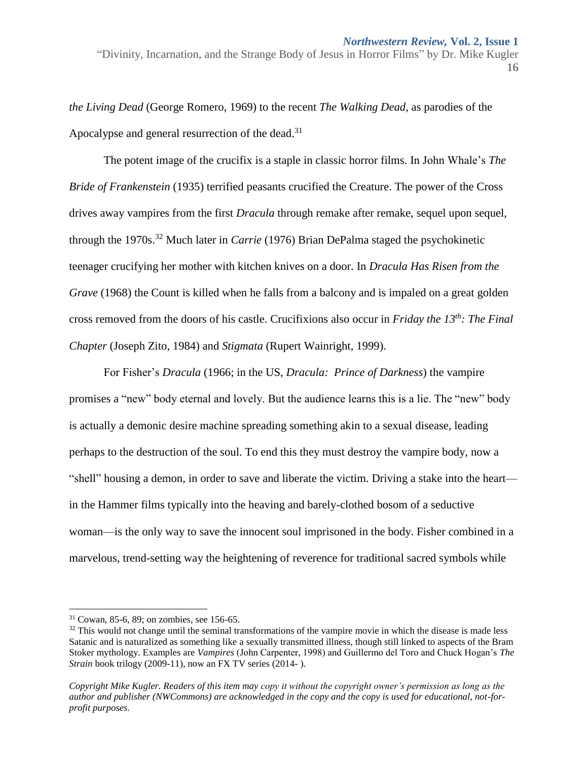*the Living Dead* (George Romero, 1969) to the recent *The Walking Dead*, as parodies of the Apocalypse and general resurrection of the dead.<sup>31</sup>

The potent image of the crucifix is a staple in classic horror films. In John Whale's *The Bride of Frankenstein* (1935) terrified peasants crucified the Creature. The power of the Cross drives away vampires from the first *Dracula* through remake after remake, sequel upon sequel, through the 1970s.<sup>32</sup> Much later in *Carrie* (1976) Brian DePalma staged the psychokinetic teenager crucifying her mother with kitchen knives on a door. In *Dracula Has Risen from the Grave* (1968) the Count is killed when he falls from a balcony and is impaled on a great golden cross removed from the doors of his castle. Crucifixions also occur in *Friday the 13th: The Final Chapter* (Joseph Zito, 1984) and *Stigmata* (Rupert Wainright, 1999).

For Fisher's *Dracula* (1966; in the US, *Dracula: Prince of Darkness*) the vampire promises a "new" body eternal and lovely. But the audience learns this is a lie. The "new" body is actually a demonic desire machine spreading something akin to a sexual disease, leading perhaps to the destruction of the soul. To end this they must destroy the vampire body, now a "shell" housing a demon, in order to save and liberate the victim. Driving a stake into the heart in the Hammer films typically into the heaving and barely-clothed bosom of a seductive woman—is the only way to save the innocent soul imprisoned in the body. Fisher combined in a marvelous, trend-setting way the heightening of reverence for traditional sacred symbols while

 $31$  Cowan, 85-6, 89; on zombies, see 156-65.

 $32$  This would not change until the seminal transformations of the vampire movie in which the disease is made less Satanic and is naturalized as something like a sexually transmitted illness, though still linked to aspects of the Bram Stoker mythology. Examples are *Vampires* (John Carpenter, 1998) and Guillermo del Toro and Chuck Hogan's *The Strain* book trilogy (2009-11), now an FX TV series (2014-).

*Copyright Mike Kugler. Readers of this item may copy it without the copyright owner's permission as long as the author and publisher (NWCommons) are acknowledged in the copy and the copy is used for educational, not-forprofit purposes.*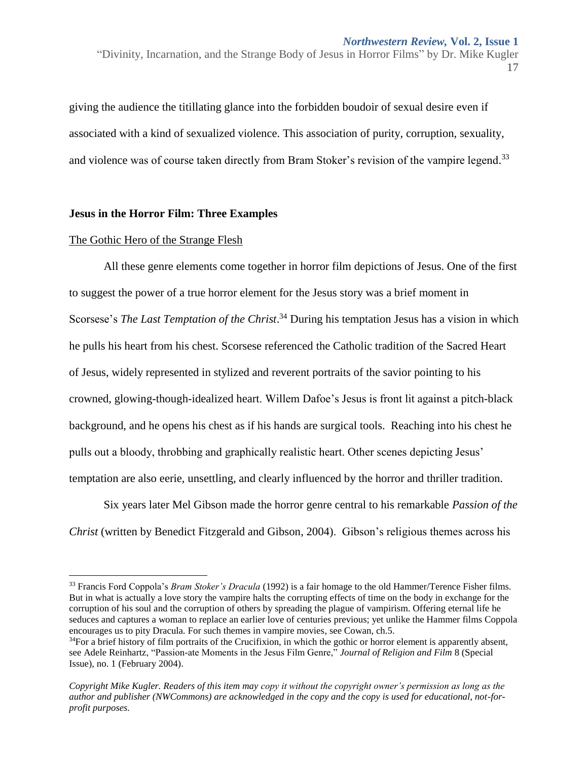giving the audience the titillating glance into the forbidden boudoir of sexual desire even if associated with a kind of sexualized violence. This association of purity, corruption, sexuality, and violence was of course taken directly from Bram Stoker's revision of the vampire legend.<sup>33</sup>

#### **Jesus in the Horror Film: Three Examples**

#### The Gothic Hero of the Strange Flesh

 $\overline{\phantom{a}}$ 

All these genre elements come together in horror film depictions of Jesus. One of the first to suggest the power of a true horror element for the Jesus story was a brief moment in Scorsese's *The Last Temptation of the Christ*. <sup>34</sup> During his temptation Jesus has a vision in which he pulls his heart from his chest. Scorsese referenced the Catholic tradition of the Sacred Heart of Jesus, widely represented in stylized and reverent portraits of the savior pointing to his crowned, glowing-though-idealized heart. Willem Dafoe's Jesus is front lit against a pitch-black background, and he opens his chest as if his hands are surgical tools. Reaching into his chest he pulls out a bloody, throbbing and graphically realistic heart. Other scenes depicting Jesus' temptation are also eerie, unsettling, and clearly influenced by the horror and thriller tradition.

Six years later Mel Gibson made the horror genre central to his remarkable *Passion of the Christ* (written by Benedict Fitzgerald and Gibson, 2004). Gibson's religious themes across his

<sup>&</sup>lt;sup>33</sup> Francis Ford Coppola's *Bram Stoker's Dracula* (1992) is a fair homage to the old Hammer/Terence Fisher films. But in what is actually a love story the vampire halts the corrupting effects of time on the body in exchange for the corruption of his soul and the corruption of others by spreading the plague of vampirism. Offering eternal life he seduces and captures a woman to replace an earlier love of centuries previous; yet unlike the Hammer films Coppola encourages us to pity Dracula. For such themes in vampire movies, see Cowan, ch.5.

 $34$ For a brief history of film portraits of the Crucifixion, in which the gothic or horror element is apparently absent, see Adele Reinhartz, "Passion-ate Moments in the Jesus Film Genre," *Journal of Religion and Film* 8 (Special Issue), no. 1 (February 2004).

*Copyright Mike Kugler. Readers of this item may copy it without the copyright owner's permission as long as the author and publisher (NWCommons) are acknowledged in the copy and the copy is used for educational, not-forprofit purposes.*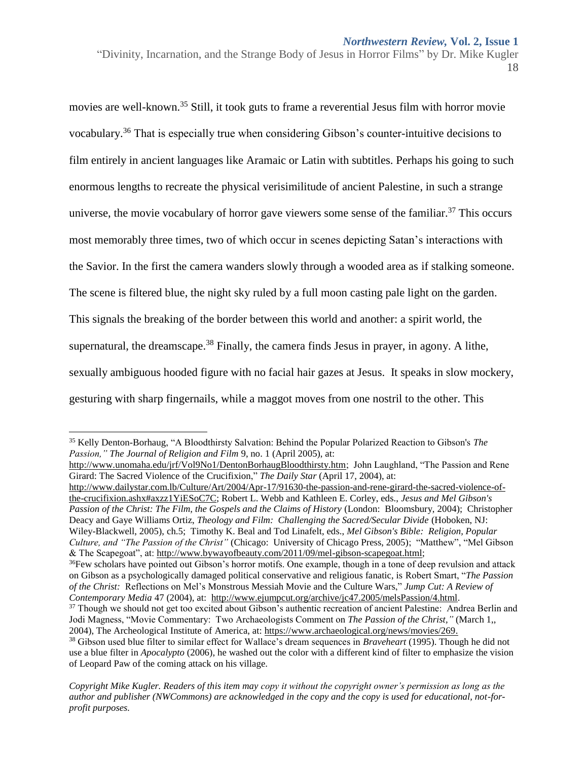movies are well-known.<sup>35</sup> Still, it took guts to frame a reverential Jesus film with horror movie vocabulary. <sup>36</sup> That is especially true when considering Gibson's counter-intuitive decisions to film entirely in ancient languages like Aramaic or Latin with subtitles. Perhaps his going to such enormous lengths to recreate the physical verisimilitude of ancient Palestine, in such a strange universe, the movie vocabulary of horror gave viewers some sense of the familiar.<sup>37</sup> This occurs most memorably three times, two of which occur in scenes depicting Satan's interactions with the Savior. In the first the camera wanders slowly through a wooded area as if stalking someone. The scene is filtered blue, the night sky ruled by a full moon casting pale light on the garden. This signals the breaking of the border between this world and another: a spirit world, the supernatural, the dreamscape.<sup>38</sup> Finally, the camera finds Jesus in prayer, in agony. A lithe, sexually ambiguous hooded figure with no facial hair gazes at Jesus. It speaks in slow mockery, gesturing with sharp fingernails, while a maggot moves from one nostril to the other. This

 $\overline{\phantom{a}}$ 

[http://www.unomaha.edu/jrf/Vol9No1/DentonBorhaugBloodthirsty.htm;](http://www.unomaha.edu/jrf/Vol9No1/DentonBorhaugBloodthirsty.htm) John Laughland, "The Passion and Rene Girard: The Sacred Violence of the Crucifixion," *The Daily Star* (April 17, 2004), at:

[http://www.dailystar.com.lb/Culture/Art/2004/Apr-17/91630-the-passion-and-rene-girard-the-sacred-violence-of](http://www.dailystar.com.lb/Culture/Art/2004/Apr-17/91630-the-passion-and-rene-girard-the-sacred-violence-of-the-crucifixion.ashx#axzz1YiESoC7C)[the-crucifixion.ashx#axzz1YiESoC7C;](http://www.dailystar.com.lb/Culture/Art/2004/Apr-17/91630-the-passion-and-rene-girard-the-sacred-violence-of-the-crucifixion.ashx#axzz1YiESoC7C) Robert L. Webb and Kathleen E. Corley, eds., *Jesus and Mel Gibson's Passion of the Christ: The Film, the Gospels and the Claims of History* (London: Bloomsbury, 2004); Christopher Deacy and Gaye Williams Ortiz, *Theology and Film: Challenging the Sacred/Secular Divide* (Hoboken, NJ: Wiley-Blackwell, 2005), ch.5; Timothy K. Beal and Tod Linafelt, eds., *Mel Gibson's Bible: Religion, Popular Culture, and "The Passion of the Christ"* (Chicago: University of Chicago Press, 2005); "Matthew", "Mel Gibson & The Scapegoat", at: [http://www.bywayofbeauty.com/2011/09/mel-gibson-scapegoat.html;](http://www.bywayofbeauty.com/2011/09/mel-gibson-scapegoat.html)

<sup>35</sup> Kelly Denton-Borhaug, "A Bloodthirsty Salvation: Behind the Popular Polarized Reaction to Gibson's *The Passion," The Journal of Religion and Film* 9, no. 1 (April 2005), at:

<sup>&</sup>lt;sup>36</sup>Few scholars have pointed out Gibson's horror motifs. One example, though in a tone of deep revulsion and attack on Gibson as a psychologically damaged political conservative and religious fanatic, is Robert Smart, "*The Passion of the Christ:* Reflections on Mel's Monstrous Messiah Movie and the Culture Wars," *Jump Cut: A Review of Contemporary Media* 47 (2004), at: [http://www.ejumpcut.org/archive/jc47.2005/melsPassion/4.html.](http://www.ejumpcut.org/archive/jc47.2005/melsPassion/4.html)

<sup>&</sup>lt;sup>37</sup> Though we should not get too excited about Gibson's authentic recreation of ancient Palestine: Andrea Berlin and Jodi Magness, "Movie Commentary: Two Archaeologists Comment on *The Passion of the Christ,"* (March 1,, 2004), The Archeological Institute of America, at: [https://www.archaeological.org/news/movies/269.](https://www.archaeological.org/news/movies/269)

<sup>38</sup> Gibson used blue filter to similar effect for Wallace's dream sequences in *Braveheart* (1995). Though he did not use a blue filter in *Apocalypto* (2006), he washed out the color with a different kind of filter to emphasize the vision of Leopard Paw of the coming attack on his village.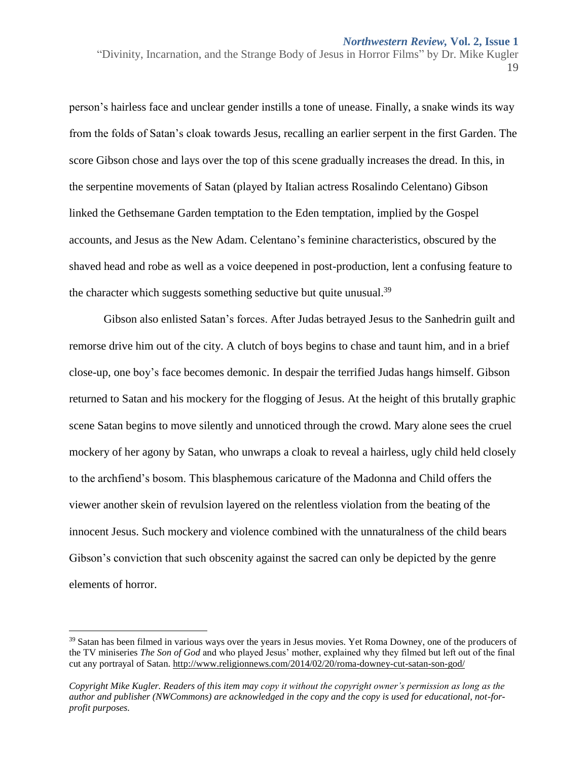person's hairless face and unclear gender instills a tone of unease. Finally, a snake winds its way from the folds of Satan's cloak towards Jesus, recalling an earlier serpent in the first Garden. The score Gibson chose and lays over the top of this scene gradually increases the dread. In this, in the serpentine movements of Satan (played by Italian actress Rosalindo Celentano) Gibson linked the Gethsemane Garden temptation to the Eden temptation, implied by the Gospel accounts, and Jesus as the New Adam. Celentano's feminine characteristics, obscured by the shaved head and robe as well as a voice deepened in post-production, lent a confusing feature to the character which suggests something seductive but quite unusual.<sup>39</sup>

Gibson also enlisted Satan's forces. After Judas betrayed Jesus to the Sanhedrin guilt and remorse drive him out of the city. A clutch of boys begins to chase and taunt him, and in a brief close-up, one boy's face becomes demonic. In despair the terrified Judas hangs himself. Gibson returned to Satan and his mockery for the flogging of Jesus. At the height of this brutally graphic scene Satan begins to move silently and unnoticed through the crowd. Mary alone sees the cruel mockery of her agony by Satan, who unwraps a cloak to reveal a hairless, ugly child held closely to the archfiend's bosom. This blasphemous caricature of the Madonna and Child offers the viewer another skein of revulsion layered on the relentless violation from the beating of the innocent Jesus. Such mockery and violence combined with the unnaturalness of the child bears Gibson's conviction that such obscenity against the sacred can only be depicted by the genre elements of horror.

<sup>&</sup>lt;sup>39</sup> Satan has been filmed in various ways over the years in Jesus movies. Yet Roma Downey, one of the producers of the TV miniseries *The Son of God* and who played Jesus' mother, explained why they filmed but left out of the final cut any portrayal of Satan.<http://www.religionnews.com/2014/02/20/roma-downey-cut-satan-son-god/>

*Copyright Mike Kugler. Readers of this item may copy it without the copyright owner's permission as long as the author and publisher (NWCommons) are acknowledged in the copy and the copy is used for educational, not-forprofit purposes.*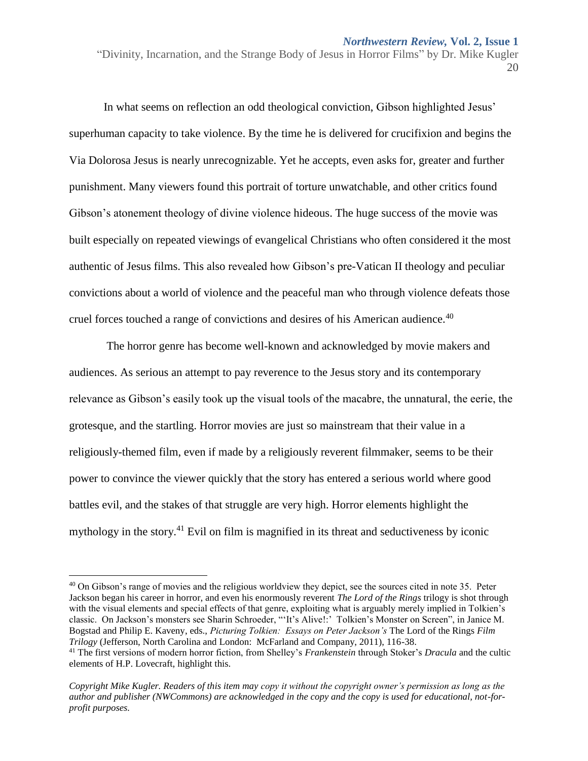#### *Northwestern Review,* **Vol. 2, Issue 1**

"Divinity, Incarnation, and the Strange Body of Jesus in Horror Films" by Dr. Mike Kugler 20

In what seems on reflection an odd theological conviction, Gibson highlighted Jesus' superhuman capacity to take violence. By the time he is delivered for crucifixion and begins the Via Dolorosa Jesus is nearly unrecognizable. Yet he accepts, even asks for, greater and further punishment. Many viewers found this portrait of torture unwatchable, and other critics found Gibson's atonement theology of divine violence hideous. The huge success of the movie was built especially on repeated viewings of evangelical Christians who often considered it the most authentic of Jesus films. This also revealed how Gibson's pre-Vatican II theology and peculiar convictions about a world of violence and the peaceful man who through violence defeats those cruel forces touched a range of convictions and desires of his American audience.<sup>40</sup>

The horror genre has become well-known and acknowledged by movie makers and audiences. As serious an attempt to pay reverence to the Jesus story and its contemporary relevance as Gibson's easily took up the visual tools of the macabre, the unnatural, the eerie, the grotesque, and the startling. Horror movies are just so mainstream that their value in a religiously-themed film, even if made by a religiously reverent filmmaker, seems to be their power to convince the viewer quickly that the story has entered a serious world where good battles evil, and the stakes of that struggle are very high. Horror elements highlight the mythology in the story.<sup>41</sup> Evil on film is magnified in its threat and seductiveness by iconic

<sup>&</sup>lt;sup>40</sup> On Gibson's range of movies and the religious worldview they depict, see the sources cited in note 35. Peter Jackson began his career in horror, and even his enormously reverent *The Lord of the Rings* trilogy is shot through with the visual elements and special effects of that genre, exploiting what is arguably merely implied in Tolkien's classic. On Jackson's monsters see Sharin Schroeder, "ʻIt's Alive!:' Tolkien's Monster on Screen", in Janice M. Bogstad and Philip E. Kaveny, eds., *Picturing Tolkien: Essays on Peter Jackson's* The Lord of the Rings *Film Trilogy* (Jefferson, North Carolina and London: McFarland and Company, 2011), 116-38.

<sup>41</sup> The first versions of modern horror fiction, from Shelley's *Frankenstein* through Stoker's *Dracula* and the cultic elements of H.P. Lovecraft, highlight this.

*Copyright Mike Kugler. Readers of this item may copy it without the copyright owner's permission as long as the author and publisher (NWCommons) are acknowledged in the copy and the copy is used for educational, not-forprofit purposes.*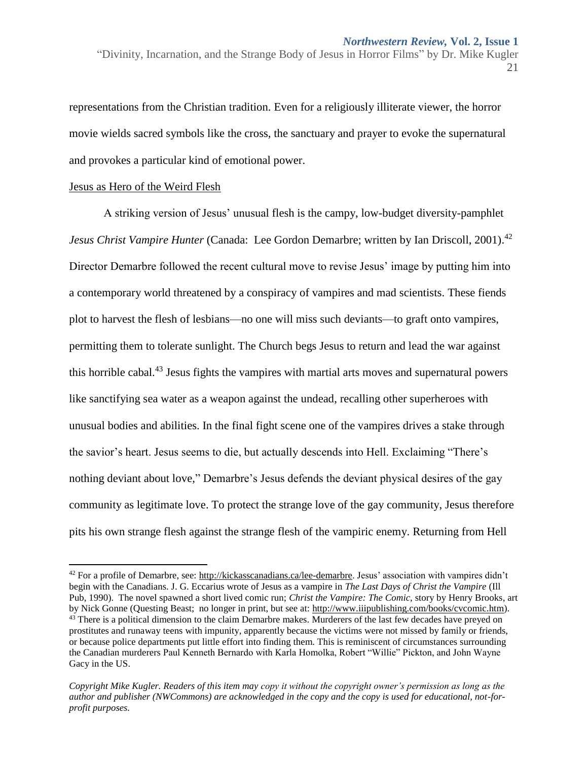representations from the Christian tradition. Even for a religiously illiterate viewer, the horror movie wields sacred symbols like the cross, the sanctuary and prayer to evoke the supernatural and provokes a particular kind of emotional power.

#### Jesus as Hero of the Weird Flesh

 $\overline{\phantom{a}}$ 

A striking version of Jesus' unusual flesh is the campy, low-budget diversity-pamphlet *Jesus Christ Vampire Hunter* (Canada: Lee Gordon Demarbre; written by Ian Driscoll, 2001). 42 Director Demarbre followed the recent cultural move to revise Jesus' image by putting him into a contemporary world threatened by a conspiracy of vampires and mad scientists. These fiends plot to harvest the flesh of lesbians—no one will miss such deviants—to graft onto vampires, permitting them to tolerate sunlight. The Church begs Jesus to return and lead the war against this horrible cabal.<sup>43</sup> Jesus fights the vampires with martial arts moves and supernatural powers like sanctifying sea water as a weapon against the undead, recalling other superheroes with unusual bodies and abilities. In the final fight scene one of the vampires drives a stake through the savior's heart. Jesus seems to die, but actually descends into Hell. Exclaiming "There's nothing deviant about love," Demarbre's Jesus defends the deviant physical desires of the gay community as legitimate love. To protect the strange love of the gay community, Jesus therefore pits his own strange flesh against the strange flesh of the vampiric enemy. Returning from Hell

 $42$  For a profile of Demarbre, see: [http://kickasscanadians.ca/lee-demarbre.](http://kickasscanadians.ca/lee-demarbre) Jesus' association with vampires didn't begin with the Canadians. J. G. Eccarius wrote of Jesus as a vampire in *The Last Days of Christ the Vampire* (Ill Pub, 1990). The novel spawned a short lived comic run; *Christ the Vampire: The Comic*, story by Henry Brooks, art by Nick Gonne (Questing Beast; no longer in print, but see at: [http://www.iiipublishing.com/books/cvcomic.htm\)](http://www.iiipublishing.com/books/cvcomic.htm). <sup>43</sup> There is a political dimension to the claim Demarbre makes. Murderers of the last few decades have preyed on prostitutes and runaway teens with impunity, apparently because the victims were not missed by family or friends, or because police departments put little effort into finding them. This is reminiscent of circumstances surrounding the Canadian murderers Paul Kenneth Bernardo with Karla Homolka, Robert "Willie" Pickton, and John Wayne Gacy in the US.

*Copyright Mike Kugler. Readers of this item may copy it without the copyright owner's permission as long as the author and publisher (NWCommons) are acknowledged in the copy and the copy is used for educational, not-forprofit purposes.*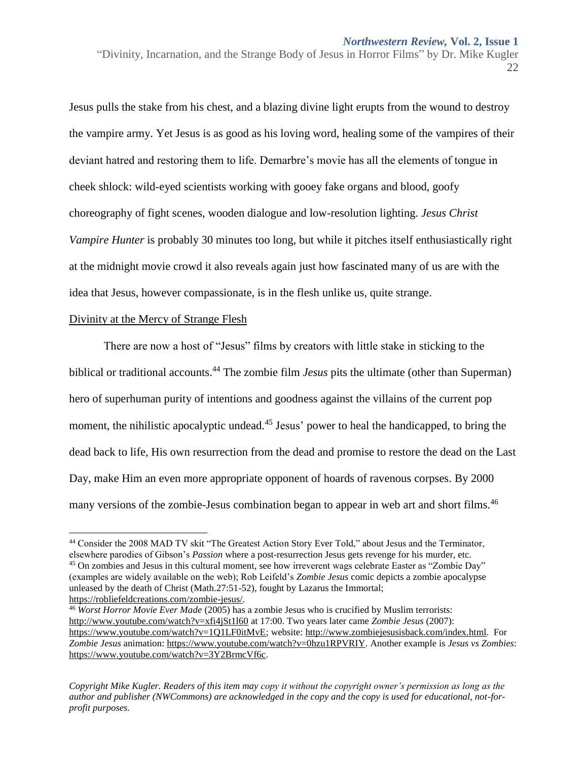Jesus pulls the stake from his chest, and a blazing divine light erupts from the wound to destroy the vampire army. Yet Jesus is as good as his loving word, healing some of the vampires of their deviant hatred and restoring them to life. Demarbre's movie has all the elements of tongue in cheek shlock: wild-eyed scientists working with gooey fake organs and blood, goofy choreography of fight scenes, wooden dialogue and low-resolution lighting. *Jesus Christ Vampire Hunter* is probably 30 minutes too long, but while it pitches itself enthusiastically right at the midnight movie crowd it also reveals again just how fascinated many of us are with the idea that Jesus, however compassionate, is in the flesh unlike us, quite strange.

#### Divinity at the Mercy of Strange Flesh

 $\overline{\phantom{a}}$ 

There are now a host of "Jesus" films by creators with little stake in sticking to the biblical or traditional accounts.<sup>44</sup> The zombie film *Jesus* pits the ultimate (other than Superman) hero of superhuman purity of intentions and goodness against the villains of the current pop moment, the nihilistic apocalyptic undead.<sup>45</sup> Jesus' power to heal the handicapped, to bring the dead back to life, His own resurrection from the dead and promise to restore the dead on the Last Day, make Him an even more appropriate opponent of hoards of ravenous corpses. By 2000 many versions of the zombie-Jesus combination began to appear in web art and short films.<sup>46</sup>

<sup>46</sup> *Worst Horror Movie Ever Made* (2005) has a zombie Jesus who is crucified by Muslim terrorists: <http://www.youtube.com/watch?v=xfi4jSt1l60> at 17:00. Two years later came *Zombie Jesus* (2007): [https://www.youtube.com/watch?v=1Q1LF0itMvE;](https://www.youtube.com/watch?v=1Q1LF0itMvE) website: [http://www.zombiejesusisback.com/index.html.](http://www.zombiejesusisback.com/index.html) For *Zombie Jesus* animation: [https://www.youtube.com/watch?v=0hzu1RPVRIY.](https://www.youtube.com/watch?v=0hzu1RPVRIY) Another example is *Jesus vs Zombies*: [https://www.youtube.com/watch?v=3Y2BrmcVf6c.](https://www.youtube.com/watch?v=3Y2BrmcVf6c)

<sup>44</sup> Consider the 2008 MAD TV skit "The Greatest Action Story Ever Told," about Jesus and the Terminator, elsewhere parodies of Gibson's *Passion* where a post-resurrection Jesus gets revenge for his murder, etc.

<sup>45</sup> On zombies and Jesus in this cultural moment, see how irreverent wags celebrate Easter as "Zombie Day" (examples are widely available on the web); Rob Leifeld's *Zombie Jesus* comic depicts a zombie apocalypse unleased by the death of Christ (Math.27:51-52), fought by Lazarus the Immortal; [https://robliefeldcreations.com/zombie-jesus/.](https://robliefeldcreations.com/zombie-jesus/)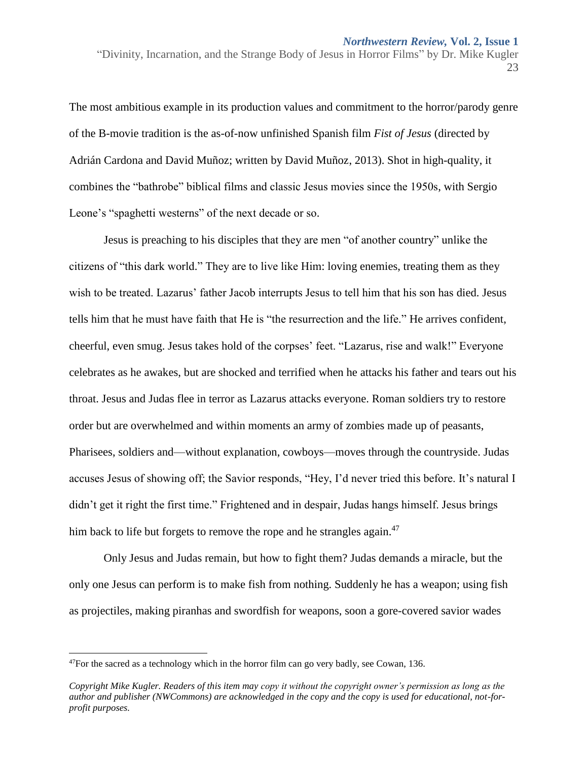The most ambitious example in its production values and commitment to the horror/parody genre of the B-movie tradition is the as-of-now unfinished Spanish film *Fist of Jesus* (directed by Adrián Cardona and David Muñoz; written by David Muñoz, 2013). Shot in high-quality, it combines the "bathrobe" biblical films and classic Jesus movies since the 1950s, with Sergio Leone's "spaghetti westerns" of the next decade or so.

Jesus is preaching to his disciples that they are men "of another country" unlike the citizens of "this dark world." They are to live like Him: loving enemies, treating them as they wish to be treated. Lazarus' father Jacob interrupts Jesus to tell him that his son has died. Jesus tells him that he must have faith that He is "the resurrection and the life." He arrives confident, cheerful, even smug. Jesus takes hold of the corpses' feet. "Lazarus, rise and walk!" Everyone celebrates as he awakes, but are shocked and terrified when he attacks his father and tears out his throat. Jesus and Judas flee in terror as Lazarus attacks everyone. Roman soldiers try to restore order but are overwhelmed and within moments an army of zombies made up of peasants, Pharisees, soldiers and—without explanation, cowboys—moves through the countryside. Judas accuses Jesus of showing off; the Savior responds, "Hey, I'd never tried this before. It's natural I didn't get it right the first time." Frightened and in despair, Judas hangs himself. Jesus brings him back to life but forgets to remove the rope and he strangles again. $^{47}$ 

Only Jesus and Judas remain, but how to fight them? Judas demands a miracle, but the only one Jesus can perform is to make fish from nothing. Suddenly he has a weapon; using fish as projectiles, making piranhas and swordfish for weapons, soon a gore-covered savior wades

 $\overline{a}$ 

 $47$ For the sacred as a technology which in the horror film can go very badly, see Cowan, 136.

*Copyright Mike Kugler. Readers of this item may copy it without the copyright owner's permission as long as the author and publisher (NWCommons) are acknowledged in the copy and the copy is used for educational, not-forprofit purposes.*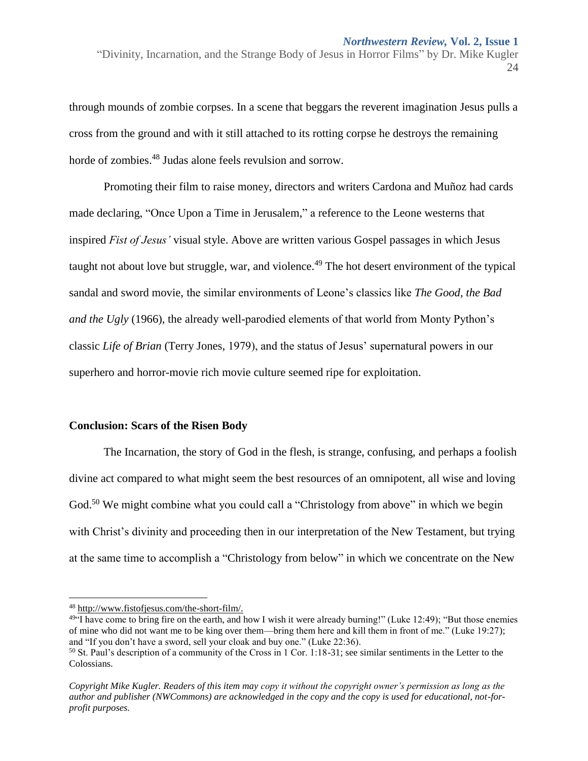through mounds of zombie corpses. In a scene that beggars the reverent imagination Jesus pulls a cross from the ground and with it still attached to its rotting corpse he destroys the remaining horde of zombies.<sup>48</sup> Judas alone feels revulsion and sorrow.

Promoting their film to raise money, directors and writers Cardona and Muñoz had cards made declaring, "Once Upon a Time in Jerusalem," a reference to the Leone westerns that inspired *Fist of Jesus'* visual style. Above are written various Gospel passages in which Jesus taught not about love but struggle, war, and violence.<sup>49</sup> The hot desert environment of the typical sandal and sword movie, the similar environments of Leone's classics like *The Good, the Bad and the Ugly* (1966), the already well-parodied elements of that world from Monty Python's classic *Life of Brian* (Terry Jones, 1979), and the status of Jesus' supernatural powers in our superhero and horror-movie rich movie culture seemed ripe for exploitation.

#### **Conclusion: Scars of the Risen Body**

The Incarnation, the story of God in the flesh, is strange, confusing, and perhaps a foolish divine act compared to what might seem the best resources of an omnipotent, all wise and loving God.<sup>50</sup> We might combine what you could call a "Christology from above" in which we begin with Christ's divinity and proceeding then in our interpretation of the New Testament, but trying at the same time to accomplish a "Christology from below" in which we concentrate on the New

<sup>48</sup> [http://www.fistofjesus.com/the-short-film/.](http://www.fistofjesus.com/the-short-film/)

 $49.4$  Have come to bring fire on the earth, and how I wish it were already burning!" (Luke 12:49); "But those enemies of mine who did not want me to be king over them—bring them here and kill them in front of me." (Luke 19:27); and "If you don't have a sword, sell your cloak and buy one." (Luke 22:36).

<sup>50</sup> St. Paul's description of a community of the Cross in 1 Cor. 1:18-31; see similar sentiments in the Letter to the Colossians.

*Copyright Mike Kugler. Readers of this item may copy it without the copyright owner's permission as long as the author and publisher (NWCommons) are acknowledged in the copy and the copy is used for educational, not-forprofit purposes.*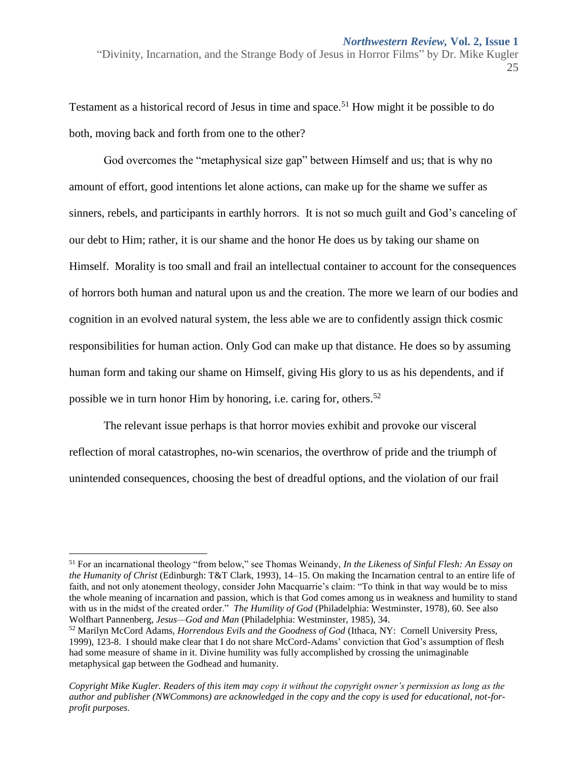Testament as a historical record of Jesus in time and space.<sup>51</sup> How might it be possible to do both, moving back and forth from one to the other?

God overcomes the "metaphysical size gap" between Himself and us; that is why no amount of effort, good intentions let alone actions, can make up for the shame we suffer as sinners, rebels, and participants in earthly horrors. It is not so much guilt and God's canceling of our debt to Him; rather, it is our shame and the honor He does us by taking our shame on Himself. Morality is too small and frail an intellectual container to account for the consequences of horrors both human and natural upon us and the creation. The more we learn of our bodies and cognition in an evolved natural system, the less able we are to confidently assign thick cosmic responsibilities for human action. Only God can make up that distance. He does so by assuming human form and taking our shame on Himself, giving His glory to us as his dependents, and if possible we in turn honor Him by honoring, i.e. caring for, others.<sup>52</sup>

The relevant issue perhaps is that horror movies exhibit and provoke our visceral reflection of moral catastrophes, no-win scenarios, the overthrow of pride and the triumph of unintended consequences, choosing the best of dreadful options, and the violation of our frail

l

<sup>51</sup> For an incarnational theology "from below," see Thomas Weinandy, *In the Likeness of Sinful Flesh: An Essay on the Humanity of Christ* (Edinburgh: T&T Clark, 1993)*,* 14–15. On making the Incarnation central to an entire life of faith, and not only atonement theology, consider John Macquarrie's claim: "To think in that way would be to miss the whole meaning of incarnation and passion, which is that God comes among us in weakness and humility to stand with us in the midst of the created order." *The Humility of God* (Philadelphia: Westminster, 1978), 60. See also Wolfhart Pannenberg, *Jesus—God and Man* (Philadelphia: Westminster, 1985), 34.

<sup>52</sup> Marilyn McCord Adams, *Horrendous Evils and the Goodness of God* (Ithaca, NY: Cornell University Press, 1999), 123-8. I should make clear that I do not share McCord-Adams' conviction that God's assumption of flesh had some measure of shame in it. Divine humility was fully accomplished by crossing the unimaginable metaphysical gap between the Godhead and humanity.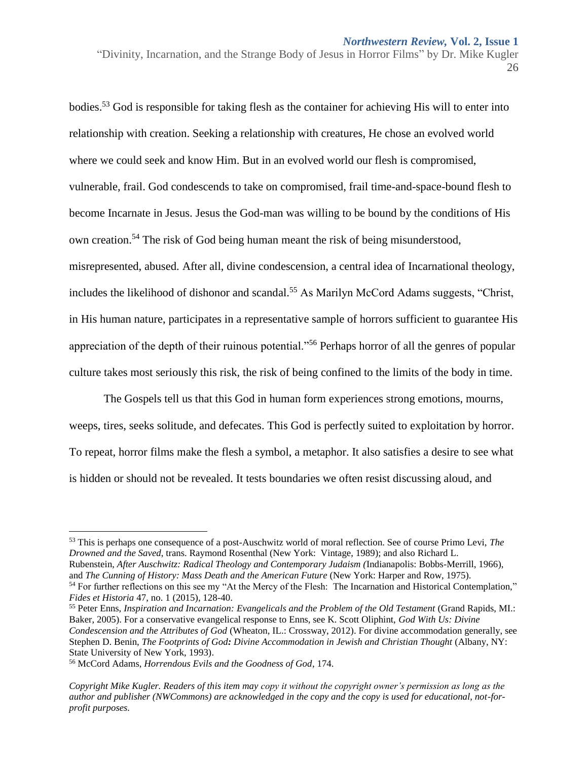bodies.<sup>53</sup> God is responsible for taking flesh as the container for achieving His will to enter into relationship with creation. Seeking a relationship with creatures, He chose an evolved world where we could seek and know Him. But in an evolved world our flesh is compromised, vulnerable, frail. God condescends to take on compromised, frail time-and-space-bound flesh to become Incarnate in Jesus. Jesus the God-man was willing to be bound by the conditions of His own creation.<sup>54</sup> The risk of God being human meant the risk of being misunderstood, misrepresented, abused. After all, divine condescension, a central idea of Incarnational theology, includes the likelihood of dishonor and scandal.<sup>55</sup> As Marilyn McCord Adams suggests, "Christ, in His human nature, participates in a representative sample of horrors sufficient to guarantee His appreciation of the depth of their ruinous potential."<sup>56</sup> Perhaps horror of all the genres of popular culture takes most seriously this risk, the risk of being confined to the limits of the body in time.

The Gospels tell us that this God in human form experiences strong emotions, mourns, weeps, tires, seeks solitude, and defecates. This God is perfectly suited to exploitation by horror. To repeat, horror films make the flesh a symbol, a metaphor. It also satisfies a desire to see what is hidden or should not be revealed. It tests boundaries we often resist discussing aloud, and

<sup>54</sup> For further reflections on this see my "At the Mercy of the Flesh: The Incarnation and Historical Contemplation," *Fides et Historia* 47, no. 1 (2015), 128-40.

<sup>55</sup> Peter Enns, *Inspiration and Incarnation: Evangelicals and the Problem of the Old Testament* (Grand Rapids, MI.: Baker, 2005). For a conservative evangelical response to Enns, see K. Scott Oliphint, *God With Us: Divine Condescension and the Attributes of God* (Wheaton, IL.: Crossway, 2012). For divine accommodation generally, see Stephen D. Benin, *The Footprints of God: Divine Accommodation in Jewish and Christian Thought* (Albany, NY: State University of New York, 1993).

<sup>56</sup> McCord Adams, *Horrendous Evils and the Goodness of God*, 174.

<sup>&</sup>quot;Divinity, Incarnation, and the Strange Body of Jesus in Horror Films" by Dr. Mike Kugler 26

<sup>53</sup> This is perhaps one consequence of a post-Auschwitz world of moral reflection. See of course Primo Levi, *The Drowned and the Saved*, trans. Raymond Rosenthal (New York: Vintage, 1989); and also Richard L. Rubenstein, *After Auschwitz: Radical Theology and Contemporary Judaism (*Indianapolis: Bobbs-Merrill, 1966), and *The Cunning of History: Mass Death and the American Future* (New York: Harper and Row, 1975).

*Copyright Mike Kugler. Readers of this item may copy it without the copyright owner's permission as long as the author and publisher (NWCommons) are acknowledged in the copy and the copy is used for educational, not-forprofit purposes.*